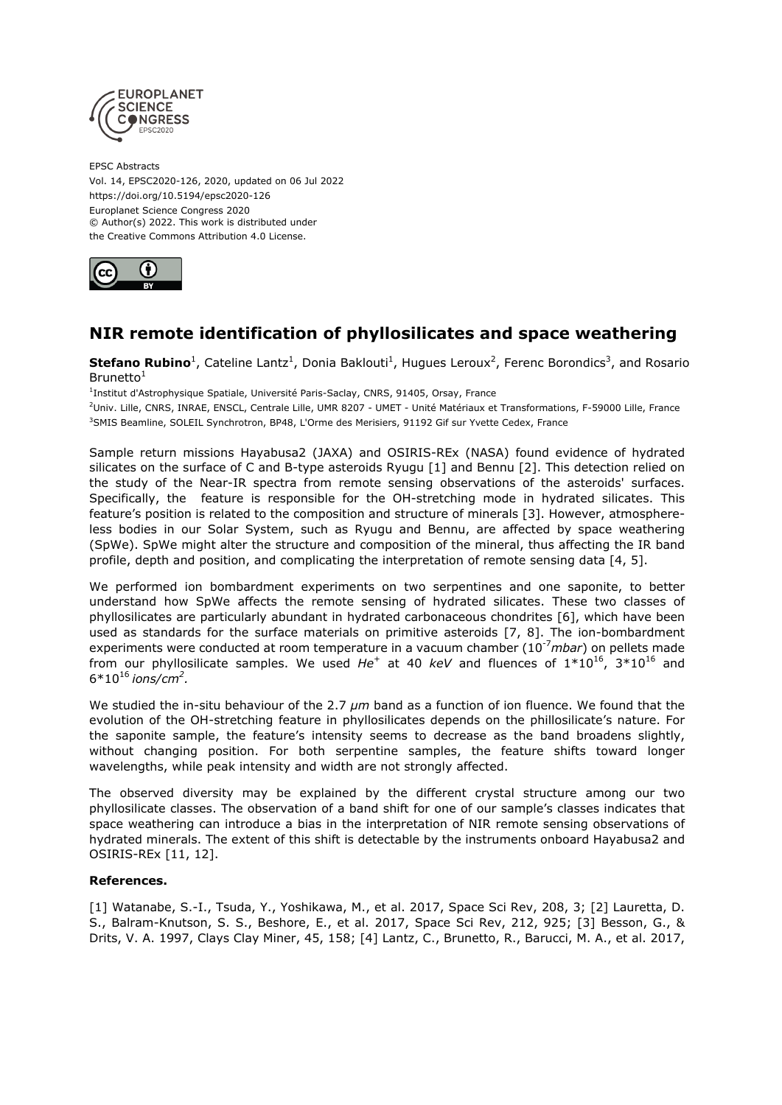

EPSC Abstracts Vol. 14, EPSC2020-126, 2020, updated on 06 Jul 2022 https://doi.org/10.5194/epsc2020-126 Europlanet Science Congress 2020 © Author(s) 2022. This work is distributed under the Creative Commons Attribution 4.0 License.



## **NIR remote identification of phyllosilicates and space weathering**

**Stefano Rubino**<sup>1</sup>, Cateline Lantz<sup>1</sup>, Donia Baklouti<sup>1</sup>, Hugues Leroux<sup>2</sup>, Ferenc Borondics<sup>3</sup>, and Rosario Brunetto $1$ 

<sup>1</sup>Institut d'Astrophysique Spatiale, Université Paris-Saclay, CNRS, 91405, Orsay, France

<sup>2</sup>Univ. Lille, CNRS, INRAE, ENSCL, Centrale Lille, UMR 8207 - UMET - Unité Matériaux et Transformations, F-59000 Lille, France <sup>3</sup>SMIS Beamline, SOLEIL Synchrotron, BP48, L'Orme des Merisiers, 91192 Gif sur Yvette Cedex, France

Sample return missions Hayabusa2 (JAXA) and OSIRIS-REx (NASA) found evidence of hydrated silicates on the surface of C and B-type asteroids Ryugu [1] and Bennu [2]. This detection relied on the study of the Near-IR spectra from remote sensing observations of the asteroids' surfaces. Specifically, the feature is responsible for the OH-stretching mode in hydrated silicates. This feature's position is related to the composition and structure of minerals [3]. However, atmosphereless bodies in our Solar System, such as Ryugu and Bennu, are affected by space weathering (SpWe). SpWe might alter the structure and composition of the mineral, thus affecting the IR band profile, depth and position, and complicating the interpretation of remote sensing data [4, 5].

We performed ion bombardment experiments on two serpentines and one saponite, to better understand how SpWe affects the remote sensing of hydrated silicates. These two classes of phyllosilicates are particularly abundant in hydrated carbonaceous chondrites [6], which have been used as standards for the surface materials on primitive asteroids [7, 8]. The ion-bombardment experiments were conducted at room temperature in a vacuum chamber (10-7*mbar*) on pellets made from our phyllosilicate samples. We used He<sup>+</sup> at 40 keV and fluences of 1\*10<sup>16</sup>, 3\*10<sup>16</sup> and 6\*10<sup>16</sup>*ions/cm<sup>2</sup> .*

We studied the in-situ behaviour of the 2.7  $\mu$ m band as a function of ion fluence. We found that the evolution of the OH-stretching feature in phyllosilicates depends on the phillosilicate's nature. For the saponite sample, the feature's intensity seems to decrease as the band broadens slightly, without changing position. For both serpentine samples, the feature shifts toward longer wavelengths, while peak intensity and width are not strongly affected.

The observed diversity may be explained by the different crystal structure among our two phyllosilicate classes. The observation of a band shift for one of our sample's classes indicates that space weathering can introduce a bias in the interpretation of NIR remote sensing observations of hydrated minerals. The extent of this shift is detectable by the instruments onboard Hayabusa2 and OSIRIS-REx [11, 12].

## **References.**

[1] Watanabe, S.-I., Tsuda, Y., Yoshikawa, M., et al. 2017, Space Sci Rev, 208, 3; [2] Lauretta, D. S., Balram-Knutson, S. S., Beshore, E., et al. 2017, Space Sci Rev, 212, 925; [3] Besson, G., & Drits, V. A. 1997, Clays Clay Miner, 45, 158; [4] Lantz, C., Brunetto, R., Barucci, M. A., et al. 2017,